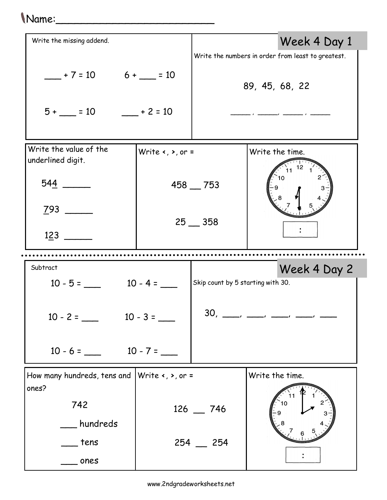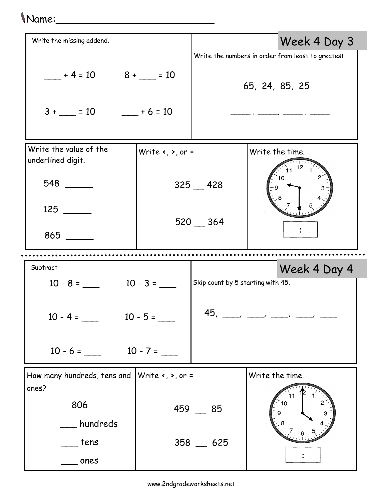